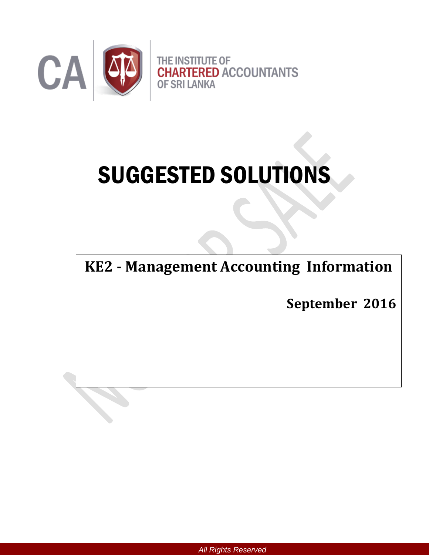

# SUGGESTED SOLUTIONS

**KE2 - Management Accounting Information**

**September 2016**

*All Rights Reserved*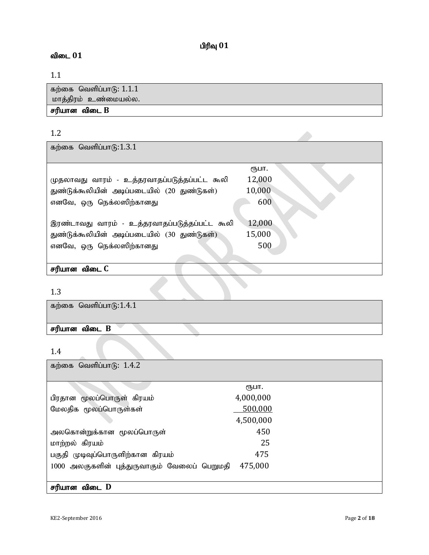# $\mathbf{p}$ ரிவு  $\mathbf{01}$

# விடை 01

# 1.1

| கற்கை வெளிப்பாடு: $1.1.1$ |
|---------------------------|
| மாத்திரம் உண்மையல்ல.      |
| சரியான விடை <b>B</b>      |

# 1.2

கற்கை வெளிப்பா $6:1.3.1$ 

|                                               | (Ҧ⊔П.  |
|-----------------------------------------------|--------|
| முதலாவது வாரம் - உத்தரவாதப்படுத்தப்பட்ட கூலி  | 12,000 |
| துண்டுக்கூலியின் அடிப்படையில் (20 துண்டுகள்)  | 10,000 |
| எனவே, ஒரு நெக்லஸிற்கானது                      | 600    |
|                                               |        |
| இரண்டாவது வாரம் - உத்தரவாதப்படுத்தப்பட்ட கூலி | 12,000 |
| துண்டுக்கூலியின் அடிப்படையில் (30 துண்டுகள்)  | 15,000 |
| எனவே, ஒரு நெக்லஸிற்கானது                      | 500    |
|                                               |        |
| சரியான விடை C                                 |        |

# 1.3

| கற்கை வெளிப்பாடு: $1.4.1$ |  |
|---------------------------|--|
| சரியான விடை B             |  |

# 1.4

கற்கை வெளிப்பாடு:  $1.4.2$ 

|                                              | (Ҧ⊔П.     |  |
|----------------------------------------------|-----------|--|
| பிரதான மூலப்பொருள் கிரயம்                    | 4,000,000 |  |
| மேலதிக மூலப்பொருள்கள்                        | 500,000   |  |
|                                              | 4,500,000 |  |
| அலகொன்றுக்கான மூலப்பொருள்                    | 450       |  |
| மாற்றல் கிரயம்                               | 25        |  |
| பகுதி முடிவுப்பொருளிற்கான கிரயம்             | 475       |  |
| 1000 அலகுகளின் புத்துருவாகும் வேலைப் பெறுமதி | 475,000   |  |
|                                              |           |  |
| சரியான விடை D                                |           |  |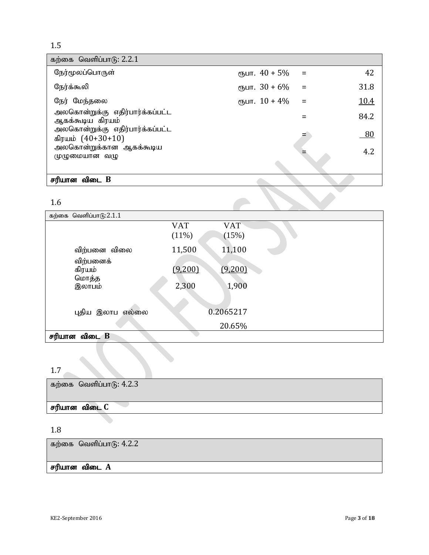| கற்கை வெளிப்பாடு: $2.2.1$                            |                                            |             |
|------------------------------------------------------|--------------------------------------------|-------------|
| நேர்மூலப்பொருள்                                      | $\epsilon$ <sub>5</sub> Um. $40 + 5\%$ =   | 42          |
| நேர்க்கூலி                                           |                                            | 31.8        |
| நேர் மேந்தலை                                         | $\epsilon$ <sub>5</sub> $\mu$ m. 10 + 4% = | <u>10.4</u> |
| அலகொன்றுக்கு எதிர்பார்க்கப்பட்ட<br>ஆகக்கூடிய கிரயம்  |                                            | 84.2        |
| அலகொன்றுக்கு எதிர்பார்க்கப்பட்ட<br>கிரயம் (40+30+10) |                                            | $-80$       |
| அலகொன்றுக்கான ஆகக்கூடிய<br>முழுமையான வழு             |                                            | 4.2         |
|                                                      |                                            |             |
| சரியான விடை B                                        |                                            |             |
| 1.6                                                  |                                            |             |

## 1.6

| கற்கை வெளிப்பாடு: $2.1.1$ |            |            |
|---------------------------|------------|------------|
|                           | <b>VAT</b> | <b>VAT</b> |
|                           | (11%)      | (15%)      |
| விற்பனை விலை              | 11,500     | 11,100     |
| விற்பனைக்                 |            |            |
| கிரயம்<br>மொத்த           | (9,200)    | (9,200)    |
| இலாபம்                    | 2,300      | 1,900      |
|                           |            |            |
| புதிய இலாப<br>எல்லை       |            | 0.2065217  |
|                           |            |            |
|                           |            | 20.65%     |
| விடை B<br>சரியான          |            |            |

# 1.7

கற்கை வெளிப்பாடு:  $4.2.3$ 

# சரியான விடை C

# 1.8

கற்கை வெளிப்பா $6: 4.2.2$ 

# சரியான விடை $\overline{A}$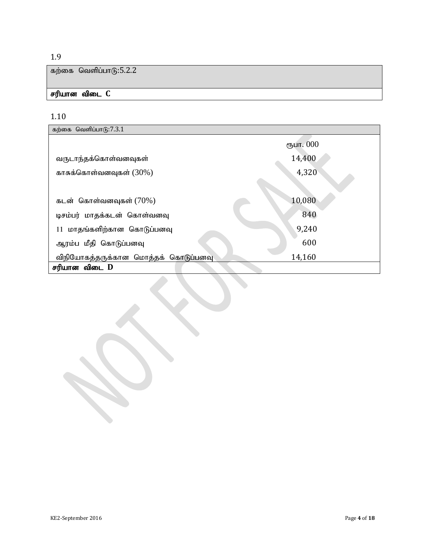கற்கை வெளிப்பா $6:5.2.2$ 

# சரியான விடை C

# 1.10

| கற்கை வெளிப்பாடு:7.3.1               |           |
|--------------------------------------|-----------|
|                                      | ரூபா. 000 |
| வருடாந்தக்கொள்வனவுகள்                | 14,400    |
| காசுக்கொள்வனவுகள் $(30\%)$           | 4,320     |
|                                      |           |
| கடன் கொள்வனவுகள் $(70%)$             | 10,080    |
| டிசம்பர் மாதக்கடன் கொள்வனவு          | 840       |
| 11 மாதங்களிற்கான கொடுப்பனவு          | 9,240     |
| ஆரம்ப மீதி கொடுப்பனவு                | 600       |
| விநியோகத்தருக்கான மொத்தக் கொடுப்பனவு | 14,160    |
| சரியான விடை D                        |           |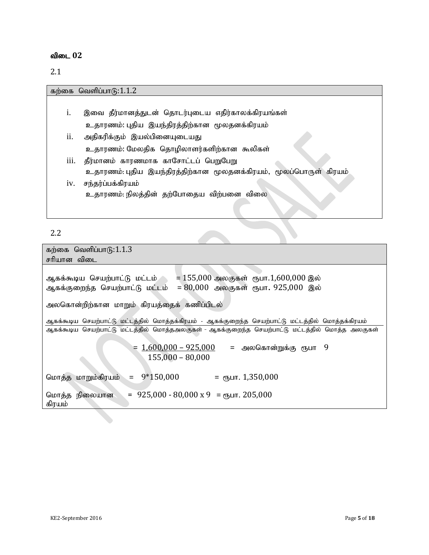# விடை 02

2.1

|                | கற்கை வெளிப்பாடு:1.1.2                                            |
|----------------|-------------------------------------------------------------------|
|                |                                                                   |
| $\mathbf{1}$ . | இவை தீர்மானத்துடன் தொடர்புடைய எதிர்காலக்கிரயங்கள்                 |
|                | உதாரணம்: புதிய இயந்திரத்திற்கான மூலதனக்கிரயம்                     |
| ii.            | அதிகரிக்கும் இயல்பினையுடையது                                      |
|                | உதாரணம்: மேலதிக தொழிலாளர்களிற்கான கூலிகள்                         |
| iii.           | தீர்மானம் காரணமாக காசோட்டப் பெறுபேறு                              |
|                | உதாரணம்: புதிய இயந்திரத்திற்கான மூலதனக்கிரயம், மூலப்பொருள் கிரயம் |
| iv.            | சந்தர்ப்பக்கிரயம்                                                 |
|                | உதாரணம்: நிலத்தின் தற்போதைய விற்பனை விலை                          |
|                |                                                                   |

# 2.2

| 2.2                                                                                                                                            |
|------------------------------------------------------------------------------------------------------------------------------------------------|
| கற்கை வெளிப்பாடு: $1.1.3$                                                                                                                      |
| சரியான விடை                                                                                                                                    |
| = 155,000 அலகுகள்   ரூபா.1,600,000 இல்<br>ஆகக்கூடிய செயற்பாட்டு மட்டம்<br>= 80,000 அலகுகள் ரூபா. 925,000 இல்<br>ஆகக்குறைந்த செயற்பாட்டு மட்டம் |
| அலகொன்றிற்கான மாறும் கிரயத்தைக் கணிப்பிடல்                                                                                                     |
| ஆகக்கூடிய செயற்பாட்டு மட்டத்தில் மொத்தக்கிரயம் - ஆகக்குறைந்த செயற்பாட்டு மட்டத்தில் மொத்தக்கிரயம்                                              |
| ஆகக்கூடிய செயற்பாட்டு மட்டத்தில் மொத்தஅலகுகள் - ஆகக்குறைந்த செயற்பாட்டு மட்டத்தில் மொத்த அலகுகள்                                               |
| <u> 1,600,000 – 925,000</u> =   அலகொன்றுக்கு  ரூபா    9<br>$155,000 - 80,000$                                                                  |
| $= 9*150,000$<br>= ரூபா. 1,350,000<br>மொத்த மாறும்கிரயம்                                                                                       |
| $= 925,000 - 80,000 \times 9 = \text{m}$ LIT. 205,000<br>மொத்த<br>நிலையான<br>கிரயம்                                                            |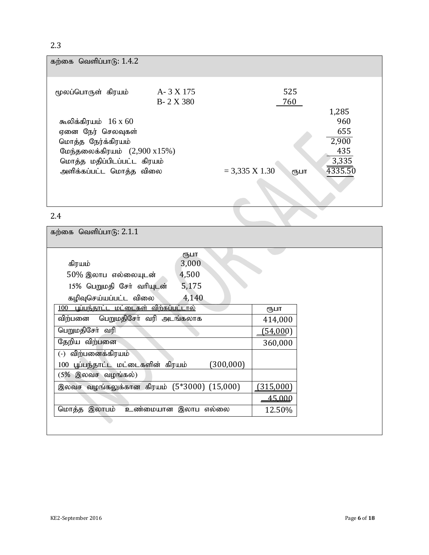| கற்கை வெளிப்பாடு: $1.4.2$                                                                                                                      |                        |                          |                                                  |
|------------------------------------------------------------------------------------------------------------------------------------------------|------------------------|--------------------------|--------------------------------------------------|
| மூலப்பொருள் கிரயம்                                                                                                                             | A-3 X 175<br>B-2 X 380 | 525<br>760               | 1,285                                            |
| கூலிக்கிரயம் $16 \times 60$<br>ஏனை நேர் செலவுகள்<br>மொத்த நேர்க்கிரயம்<br>மேந்தலைக்கிரயம் $(2,900 \times 15\%)$<br>மொத்த மதிப்பிடப்பட்ட கிரயம் |                        |                          | 960<br>655<br>$\overline{2,900}$<br>435<br>3,335 |
| அளிக்கப்பட்ட மொத்த விலை                                                                                                                        |                        | $= 3,335$ X 1.30<br>₹ҦШП | 4335.50                                          |
| 2.4                                                                                                                                            |                        |                          |                                                  |

| கற்கை வெளிப்பாடு: $2.1.1$                      |            |                 |  |
|------------------------------------------------|------------|-----------------|--|
|                                                | ரூபா       |                 |  |
| கிரயம்                                         | 3,000      |                 |  |
| 4,500<br>50% இலாப எல்லையுடன்                   |            |                 |  |
| 15% பெறுமதி சேர் வரியுடன்                      | 5,175      |                 |  |
| கழிவுசெய்யப்பட்ட விலை                          | 4,140      |                 |  |
| 100 புப்பந்தாட்ட மட்டைகள் விற்கப்பட்டால்       |            | ரூபா            |  |
| பெறுமதிசேர் வரி அடங்கலாக<br>விற்பனை            |            | 414,000         |  |
| பெறுமதிசேர் வரி                                |            | <u>(54,000)</u> |  |
| தேறிய விற்பனை                                  |            | 360,000         |  |
| விற்பனைக்கிரயம்<br>$(-)$                       |            |                 |  |
| 100 பூப்பந்தாட்ட மட்டைகளின் கிரயம்             | (300, 000) |                 |  |
| (5% இலவச வழங்கல்)                              |            |                 |  |
| இலவச வழங்கலுக்கான கிரயம் $(5*3000)$ $(15,000)$ |            | (315,000)       |  |
|                                                |            | 45,000          |  |
| மொத்த இலாபம்<br>உண்மையான இலாப எல்லை            |            | 12.50%          |  |
|                                                |            |                 |  |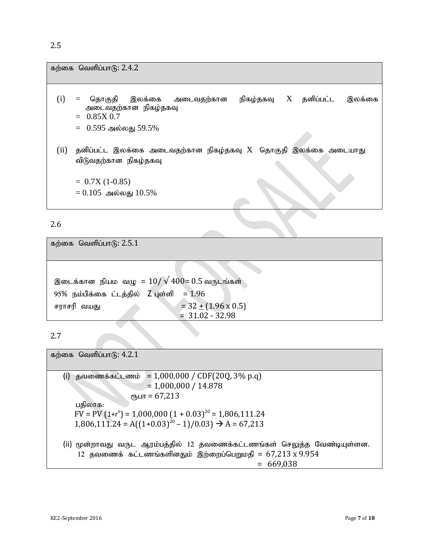|      | கற்கை வெளிப்பாடு: 2.4.2                                                                                                                |
|------|----------------------------------------------------------------------------------------------------------------------------------------|
| (i)  | நிகழ்தகவு $X$ தனிப்பட்ட<br>இலக்கை<br>தொகுதி இலக்கை அடைவதற்கான<br>$=$<br>அடைவதற்கான நிகழ்தகவு<br>$= 0.85X0.7$<br>$=$ 0.595 அல்லது 59.5% |
| (ii) | தனிப்பட்ட இலக்கை அடைவதற்கான நிகழ்தகவு $\rm X$ தொகுதி இலக்கை அடையாது<br>விடுவதற்கான நிகழ்தகவு                                           |
|      | $= 0.7X(1-0.85)$<br>$= 0.105$ அல்லது $10.5\%$                                                                                          |

கற்கை வெளிப்பா $6: 2.5.1$ 

இடைக்கான நியம வழு =  $10/\sqrt{400}$ =  $0.5$  வருடங்கள்  $95\%$  நம்பிக்கை ட்டத்தில் Z புள்ளி =  $1.96$ சராசரி வயது  $= 32 \pm (1.96 \times 0.5)$  $= 31.02 - 32.98$ 

2.7

கற்கை வெளிப்பா $(6: 4.2.1)$ (i) தவணைக்கட்டணம் = 1,000,000 / CDF(20Q, 3% p.q)  $= 1,000,000 / 14.878$  $CD$ <sub>C</sub><sub>D</sub> $L$ IT = 67,213 பதிலாக:  $FV = PV (1 + r<sup>n</sup>) = 1,000,000 (1 + 0.03)<sup>20</sup> = 1,806,111.24$  $1,806,111.24 = A((1+0.03)^{20} - 1)/0.03$   $\rightarrow$  A = 67,213 (ii) மூன்றாவது வருட ஆரம்பத்தில் 12 தவணைக்கட்டணங்கள் செலுத்த வேண்டியுள்ளன.  $12$  தவணைக் கட்டணங்களினதும் இற்றைப்பெறுமதி = 67,213 x 9.954  $= 669,038$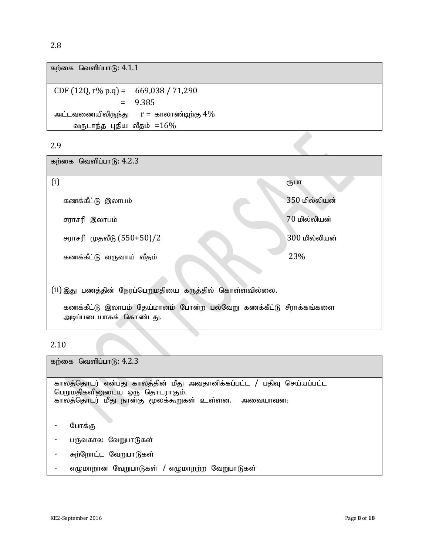கற்கை வெளிப்பா $f$ ; 4.1.1 CDF (12Q, r% p.q) = 669,038 / 71,290 = 9.385 அட்டவணையிலிருந்து  $r = \pi$ காலாண்டிற்கு  $4\%$ 

வருடாந்த புதிய வீதம்  $=16\%$ 

#### 2.9

கற்கை வெளிப்பா $6: 4.2.3$ 

| (i)                                                                                         | ரூபா          |
|---------------------------------------------------------------------------------------------|---------------|
| கணக்கீட்டு இலாபம்                                                                           | 350 மில்லியன் |
| சராசரி இலாபம்                                                                               | 70 மில்லியன்  |
| சராசரி முதலீடு (550+50)/2                                                                   | 300 மில்லியன் |
| கணக்கீட்டு வருவாய் வீதம்                                                                    | 23%           |
|                                                                                             |               |
| (ii)இது பணத்தின் நேரப்பெறுமதியை கருத்தில் கொள்ளவில்லை.                                      |               |
| கணக்கீட்டு இலாபம் தேய்மானம் போன்ற பல்வேறு கணக்கீட்டு சீராக்கங்களை<br>அடிப்படையாகக் கொண்டது. |               |

2.10

கற்கை வெளிப்பா $f$ ; 4.2.3 காலத்தொடர் என்பது காலத்தின் மீது அவதானிக்கப்பட்ட / பதிவு செய்யப்பட்ட பெறுமதிகளினுடைய ஒரு தொடராகும். காலத்தொடர் மீது நான்கு மூலக்கூறுகள் உள்ளன. அவையாவன: - போக்கு - பருவகால வேறுபாடுகள் - சுற்றோட்ட வேறுபாடுகள்  $\sigma$ ழுமாறான வேறுபாடுகள் / எழுமாறற்ற வேறுபாடுகள்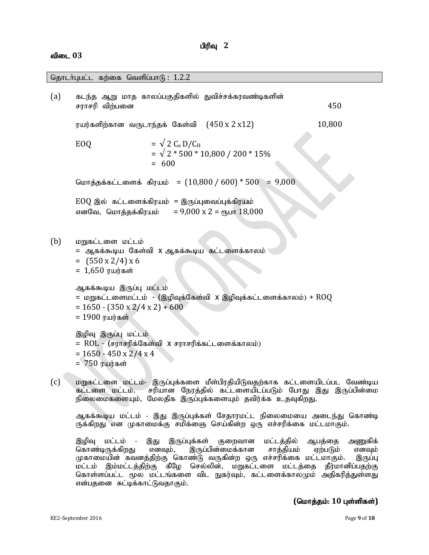#### பிரிவு 2

#### விடை 03

(a) கடந்த ஆறு மாத காலப்பகுதிகளில் துவிச்சக்கரவண்டிகளின் சாாசரி விற்பனை  $450$ ரயர்களிற்கான வருடாந்தக் கேள்வி  $(450 \times 2 \times 12)$   $10,800$ EOQ  $= \sqrt{2} C_0 D/C_H$  $=$   $\sqrt{2}$  \* 500 \* 10,800 / 200 \* 15%  $= 600$ மொத்தக்கட்டளைக் கிரயம் =  $(10,800 / 600) * 500 = 9,000$  $EOO$  இல் கட்டளைக்கிரயம் = இருப்புவைப்புக்கிரயம் vdNt> nkhj;jf;fpuak; = 9,000 x 2 = &gh 18,000  $(b)$  pmps in  $\mathbb{R}$  by the kine of  $\mathbb{R}$  by the point of  $\mathbb{R}$ = ஆகக்கூடிய கேள்வி X ஆகக்கூடிய கட்டளைக்காலம்  $=$  (550 x 2/4) x 6  $= 1,650$  ரயர்கள் ஆகக்கூடிய இருப்பு மட்டம் = மறுகட்டளைமட்டம் - (இழிவுக்கேள்வி x இழிவுக்கட்டளைக்காலம்) +  $\text{ROQ}$  $= 1650 - (350 \times 2/4 \times 2) + 600$  $= 1900$  ரயர்கள் இழிவு இருப்பு மட்டம்  $= \text{ROL}$  –  $(\overline{\text{FITF}})$ க்கேள்வி X சராசரிக்கட்டளைக்காலம்)  $= 1650 - 450 \times 2/4 \times 4$  $= 750$   $\mu$ (c) மறுகட்டளை மட்டம்- இருப்புக்களை மீள்பிரதியிடுவதற்காக கட்டளையிடப்பட வேண்டிய கட்டளை மட்டம். சரியான நேரத்தில் கட்டளையிடப்படும் போது இது இருப்பின்மை நிலைமைகளையும், மேலதிக இருப்புக்களையும் தவிர்க்க உதவுகிறது. தொடர்புபட்ட கற்கை வெளிப்பா $f<sub>B</sub>: 1.2.2$ 

ஆகக்கூடிய மட்டம் - இது இருப்புக்கள் சேதாரமட்ட நிலைமையை அடைந்து கொண்டி ருக்கிறது என முகாமைக்கு சமிக்ஞை செய்கின்ற ஒரு எச்சரிக்கை மட்டமாகும்.

இழிவு மட்டம் - இது இருப்புக்கள் குறைவான மட்டத்தில் ஆபத்தை அணுகிக் கொண்டிருக்கிறது எனவும், இருப்பின்மைக்கான சாத்தியம் ஏற்படும் எனவும் முகாமையின் கவனத்திற்கு கொண்டு வருகின்ற ஒரு எச்சரிக்கை மட்டமாகும். இருப்பு மட்டம் இம்மட்டத்திற்கு கீழே செல்லின், மறுகட்டளை மட்டத்தை தீர்மானிப்பதற்கு கொள்ளப்பட்ட மூல மட்டங்களை விட நுகர்வும், கட்டளைக்காலமும் அதிகரித்துள்ளது என்பதனை சுட்டிக்காட்டுவதாகும்.

#### $($ மொத்தம்: 10 புள்ளிகள்)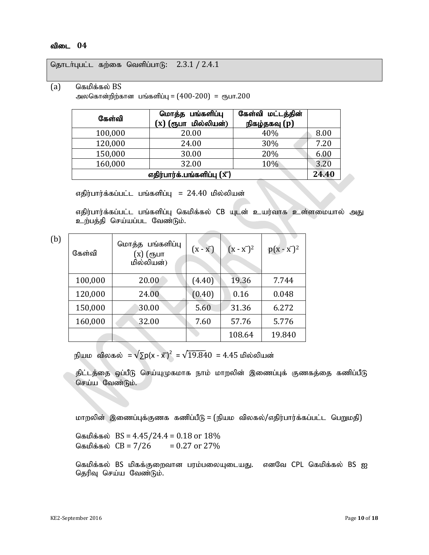தொடர்புபட்ட கற்கை வெளிப்பாடு:  $2.3.1 / 2.4.1$ 

(a) கெமிக்கல்  $BS$ 

அலகொன்றிற்கான பங்களிப்பு =  $(400-200)$  = ரூபா.200

| கேள்வி                             | மொத்த பங்களிப்பு<br>(x) (ரூபா மில்லியன்) | கேள்வி மட்டத்தின்<br>நிகழ்தகவு (p) |      |  |  |
|------------------------------------|------------------------------------------|------------------------------------|------|--|--|
| 100,000                            | 20.00                                    | 40%                                | 8.00 |  |  |
| 120,000                            | 24.00                                    | 30%                                | 7.20 |  |  |
| 150,000                            | 30.00                                    | 20%                                | 6.00 |  |  |
| 160,000                            | 32.00                                    | 10%                                | 3.20 |  |  |
| எதிர்பார்க்.பங்களிப்பு $(\bar{x})$ |                                          |                                    |      |  |  |

எதிர்பார்க்கப்பட்ட பங்களிப்பு =  $24.40$  மில்லியன்

எதிர்பார்க்கப்பட்ட பங்களிப்பு கெமிக்கல் CB யுடன் உயர்வாக உள்ளமையால் அது உற்பத்தி செய்யப்பட வேண்டும்.

| (b) | கேள்வி  | மொத்த பங்களிப்பு<br>(x) (ரூபா<br>மில்லியன்) | $(X - X)$ | $(x - x2)2$ | $p(x - x^{-})^2$ |
|-----|---------|---------------------------------------------|-----------|-------------|------------------|
|     | 100,000 | 20.00                                       | (4.40)    | 19.36       | 7.744            |
|     | 120,000 | 24.00                                       | (0.40)    | 0.16        | 0.048            |
|     | 150,000 | 30.00                                       | 5.60      | 31.36       | 6.272            |
|     | 160,000 | 32.00                                       | 7.60      | 57.76       | 5.776            |
|     |         |                                             |           | 108.64      | 19.840           |

நியம விலகல்  $=\sqrt{\Sigma p(x - \bar{x})^2} = \sqrt{19.840} = 4.45$  மில்லியன்

திட்டத்தை ஒப்பீடு செய்யுமுகமாக நாம் மாறலின் இணைப்புக் குணகத்தை கணிப்பீடு செய்ய வேண்டும்.

மாறலின் இணைப்புக்குணக கணிப்பீடு = (நியம விலகல்/எதிர்பார்க்கப்பட்ட பெறுமதி)

கெமிக்கல்  $BS = 4.45/24.4 = 0.18$  or  $18\%$ கெமிக்கல்  $CB = 7/26 = 0.27$  or 27%

கெமிக்கல் BS மிகக்குறைவான பரம்பலையுடையது. எனவே CPL கெமிக்கல் BS ஐ தெரிவு செய்ய வேண்டும்.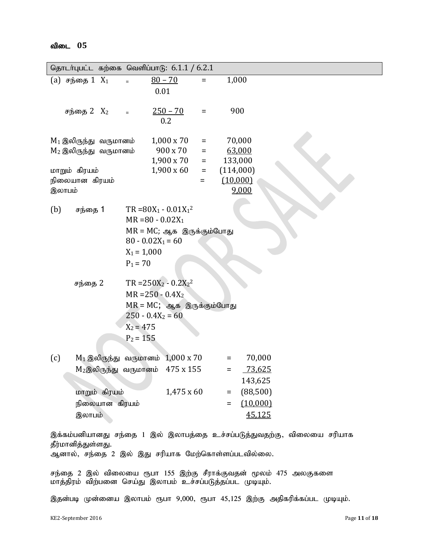| 05<br>விடை |
|------------|
|------------|

|               | தொடர்புபட்ட கற்கை வெளிப்பாடு: $6.1.1 / 6.2.1$ |                              |                   |          |           |          |  |  |
|---------------|-----------------------------------------------|------------------------------|-------------------|----------|-----------|----------|--|--|
|               | (a) சந்தை $1 X_1$                             |                              | $80 - 70$         | $=$      | 1,000     |          |  |  |
|               |                                               |                              | 0.01              |          |           |          |  |  |
|               |                                               |                              |                   |          |           |          |  |  |
|               | சந்தை 2 X <sub>2</sub>                        | $\equiv$                     | $250 - 70$<br>0.2 | $=$      | 900       |          |  |  |
|               |                                               |                              |                   |          |           |          |  |  |
|               | $M_1$ இலிருந்து வருமானம்                      |                              | $1,000 \times 70$ | $\equiv$ |           | 70,000   |  |  |
|               | $M_2$ இலிருந்து வருமானம்                      |                              | 900 x 70          | $\equiv$ |           | 63,000   |  |  |
|               |                                               |                              | 1,900 x 70        | $\equiv$ | 133,000   |          |  |  |
| மாறும் கிரயம் |                                               |                              | $1,900 \times 60$ | $=$      | (114,000) |          |  |  |
|               | நிலையான கிரயம்                                |                              |                   | Ξ        | (10,000)  |          |  |  |
| இலாபம்        |                                               |                              |                   |          |           | 9,000    |  |  |
| (b)           | சந்தை 1                                       | $TR = 80X_1 - 0.01X_1^2$     |                   |          |           |          |  |  |
|               |                                               | $MR = 80 - 0.02X_1$          |                   |          |           |          |  |  |
|               |                                               | $MR = MC$ ; ஆக இருக்கும்போது |                   |          |           |          |  |  |
|               |                                               | $80 - 0.02X_1 = 60$          |                   |          |           |          |  |  |
|               |                                               | $X_1 = 1,000$                |                   |          |           |          |  |  |
|               |                                               | $P_1 = 70$                   |                   |          |           |          |  |  |
|               |                                               |                              |                   |          |           |          |  |  |
|               | சந்தை 2                                       | $TR = 250X_2 - 0.2X_2^2$     |                   |          |           |          |  |  |
|               |                                               | $MR = 250 - 0.4X_2$          |                   |          |           |          |  |  |
|               |                                               | $MR = MC$ ; ஆக இருக்கும்போது |                   |          |           |          |  |  |
|               |                                               | $250 - 0.4X_2 = 60$          |                   |          |           |          |  |  |
|               |                                               | $X_2 = 475$                  |                   |          |           |          |  |  |
|               |                                               | $P_2 = 155$                  |                   |          |           |          |  |  |
| (c)           | $M_1$ இலிருந்து வருமானம் $1,000 \times 70$    |                              |                   |          | Ξ         | 70,000   |  |  |
|               | $M_2$ இலிருந்து வருமானம் $475 \times 155$     |                              |                   |          | $=$       | 73,625   |  |  |
|               |                                               |                              |                   |          |           | 143,625  |  |  |
|               | மாறும் கிரயம்                                 |                              | 1,475 x 60        |          | $\equiv$  | (88,500) |  |  |
|               | நிலையான கிரயம்                                |                              |                   |          | =         | (10,000) |  |  |
|               |                                               |                              |                   |          |           |          |  |  |
|               | இலாபம்                                        |                              |                   |          |           | 45,125   |  |  |
|               |                                               |                              |                   |          |           |          |  |  |

இக்கம்பனியானது சந்தை 1 இல் இலாபத்தை உச்சப்படுத்துவதற்கு, விலையை சரியாக தீர்மானித்துள்ளது.

ஆனால், சந்தை 2 இல் இது சரியாக மேற்கொள்ளப்படவில்லை.

சந்தை 2 இல் விலையை ரூபா 155 இற்கு சீராக்குவதன் மூலம் 475 அலகுகளை மாத்திரம் விற்பனை செய்து இலாபம் உச்சப்படுத்தப்பட முடியும்.

இதன்படி முன்னைய இலாபம் ரூபா 9,000, ரூபா 45,125 இற்கு அதிகரிக்கப்பட முடியும்.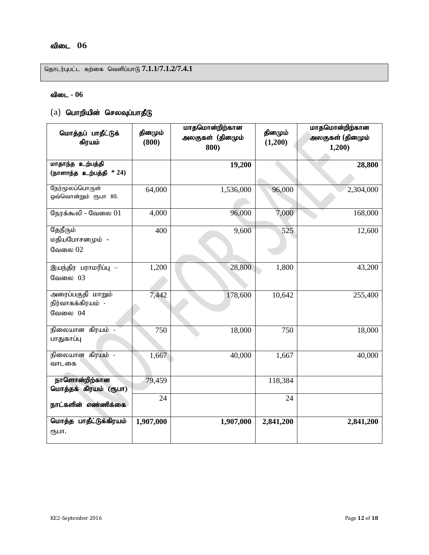## விடை 06

தொடர்புபட்ட கற்கை வெளிப்பாடு 7.1.1/7.1.2/7.4.1

#### $f$ விடை - 06

# $(a)$  பொறியின் செலவுப்பாதீடு

| மொத்தப் பாதீட்டுக்<br>கிரயம்                         | தினமும்<br>(800) | மாதமொன்றிற்கான<br>அலகுகள் (தினமும்<br>800) | தினமும்<br>(1,200) | மாதமொன்றிற்கான<br>அலகுகள் (தினமும்<br>1,200) |
|------------------------------------------------------|------------------|--------------------------------------------|--------------------|----------------------------------------------|
| மாதாந்த உற்பத்தி<br>(நாளாந்த $\rho$ உற்பத்தி $*$ 24) |                  | 19,200                                     |                    | 28,800                                       |
| நேர்மூலப்பொருள்<br>ஒவ்வொன்றும் ரூபா 80.              | 64,000           | 1,536,000                                  | 96,000             | 2,304,000                                    |
| நேரக்கூலி - வேலை $01$                                | 4,000            | 96,000                                     | 7,000              | 168,000                                      |
| தேநீரும்<br>மதியபோசனமும் -<br>வேலை 02                | 400              | 9,600                                      | 525                | 12,600                                       |
| இயந்திர பராமரிப்பு —<br>வேலை 03                      | 1,200            | 28,800                                     | 1,800              | 43,200                                       |
| அரைப்பகுதி மாறும்<br>நிர்வாகக்கிரயம் -<br>வேலை 04    | 7,442            | 178,600                                    | 10,642             | 255,400                                      |
| நிலையான கிரயம் -<br>பாதுகாப்பு                       | 750              | 18,000                                     | 750                | 18,000                                       |
| நிலையான கிரயம் -<br>வாடகை                            | 1,667            | 40,000                                     | 1,667              | 40,000                                       |
| நாளொன்றிற்கான<br>மொத்தக் கிரயம் (ரூபா)               | 79,459           |                                            | 118,384            |                                              |
| நாட்களின் எண்ணிக்கை                                  | 24               |                                            | 24                 |                                              |
| மொத்த பாதீட்டுக்கிரயம்<br>ரூபா.                      | 1,907,000        | 1,907,000                                  | 2,841,200          | 2,841,200                                    |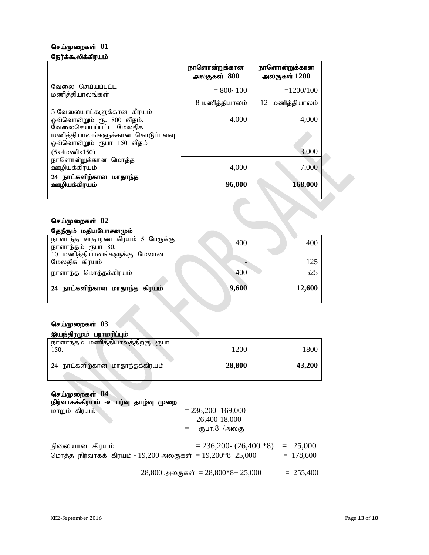# செய்முறைகள் 01

#### நேர்க்கூலிக்கிரயம்

|                                                                                   | நாளொன்றுக்கான<br>அலகுகள் $800$ | நாளொன்றுக்கான<br>அலகுகள் $1200$ |
|-----------------------------------------------------------------------------------|--------------------------------|---------------------------------|
| வேலை செய்யப்பட்ட<br>மணித்தியாலங்கள்                                               | $= 800/100$                    | $=1200/100$                     |
|                                                                                   | 8 மணித்தியாலம்                 | 12 மணித்தியாலம்                 |
| 5 வேலையாட்களுக்கான கிரயம்<br>ஒவ்வொன்றும் ரூ. 800 வீதம்.<br>வேலைசெய்யப்பட்ட மேலதிக | 4,000                          | 4,000                           |
| மணித்தியாலங்களுக்கான கொடுப்பனவு<br>ஒவ்வொன்றும் ரூபா 150 வீதம்                     |                                |                                 |
| $(5x4 \omega \omega \pi k150)$                                                    |                                | 3,000                           |
| நாளொன்றுக்கான மொத்த<br>ஊழியக்கிரயம்                                               | 4,000                          | 7,000                           |
| 24 நாட்களிற்கான மாதாந்த<br>ஊழியக்கிரயம்                                           | 96,000                         | 168,000                         |
|                                                                                   |                                |                                 |

#### செய்முறைகள்  $02$

| தேநீரும் மதியபோசனமும்            |       |        |
|----------------------------------|-------|--------|
| நாளாந்த சாதாரண கிரயம் 5 பேருக்கு | 400   | 400    |
| நாளாந்தம் ரூபா 80.               |       |        |
| 10 மணித்தியாலங்களுக்கு மேலான     |       |        |
| மேலதிக கிரயம்                    |       | 125    |
| நாளாந்த மொத்தக்கிரயம்            | 400   | 525    |
|                                  |       |        |
| 24 நாட்களிற்கான மாதாந்த கிரயம்   | 9,600 | 12,600 |
|                                  |       |        |

# செய்முறைகள் 03

| இயந்திரமும் பராமரிப்பும்                  |        |        |
|-------------------------------------------|--------|--------|
| நாளாந்தம் மணித்தியாலத்திற்கு ரூபா<br>150. | 1200   | 1800   |
| 24 நாட்களிற்கான மாதாந்தக்கிரயம்           | 28,800 | 43,200 |

# செய்முறைகள் 04

|  |  | நிர்வாகக்கிரயம் -உயர்வு தாழ்வு முறை |  |
|--|--|-------------------------------------|--|
|  |  |                                     |  |

| மாறும் கிரயம்                                               | $= 236,200 - 169,000$           |             |
|-------------------------------------------------------------|---------------------------------|-------------|
|                                                             | 26,400-18,000                   |             |
|                                                             | $=$ ரூபா. $8 \overline{9}$ அலகு |             |
| நிலையான கிரயம்                                              | $= 236,200 - (26,400 * 8)$      | $= 25,000$  |
| மொத்த நிர்வாகக் கிரயம் - 19,200 அலகுகள் = $19,200*8+25,000$ |                                 | $= 178,600$ |
|                                                             |                                 |             |

 $28,800$  அலகுகள் =  $28,800*8+25,000 = 255,400$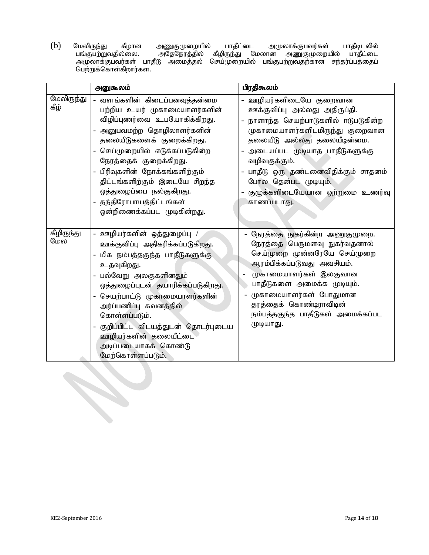(b) மேலிருந்து கீழான அணுகுமுறையில் பாதீட்டை அமுலாக்குபவர்கள் பாதீடிடலில் gq;Fgw;Wtjpy;iy. mNjNeuj;jpy; fPopUe;J Nkyhd mZFKiwapy; ghjPl;il அமுலாக்குபவர்கள் பாதீடு அமைத்தல் செய்முறையில் பங்குபற்றுவதற்கான சந்தர்ப்பத்தைப் பெற்றுக்கொள்கிறார்கள.

|                    | அனுகூலம்                                                                                                                                                                                                                                                                                                                                                             | பிரதிகூலம்                                                                                                                                                                                                                                                                                                                            |
|--------------------|----------------------------------------------------------------------------------------------------------------------------------------------------------------------------------------------------------------------------------------------------------------------------------------------------------------------------------------------------------------------|---------------------------------------------------------------------------------------------------------------------------------------------------------------------------------------------------------------------------------------------------------------------------------------------------------------------------------------|
| மேலிருந்து<br>கீழ் | - வளங்களின் கிடைப்பனவுத்தன்மை<br>பற்றிய உயர் முகாமையாளர்களின்<br>விழிப்புணர்வை உபயோகிக்கிறது.<br>அனுபவமற்ற தொழிலாளர்களின்<br>தலையீடுகளைக் குறைக்கிறது.<br>செய்முறையில் எடுக்கப்படுகின்ற<br>நேரத்தைக் குறைக்கிறது.<br>பிரிவுகளின் நோக்கங்களிற்கும்<br>திட்டங்களிற்கும் இடையே சிறந்த<br>ஒத்துழைப்பை நல்குகிறது.<br>தந்திரோபாயத்திட்டங்கள்                              | ஊழியர்களிடையே குறைவான<br>ஊக்குவிப்பு அல்லது அதிருப்தி.<br>- நாளாந்த செயற்பாடுகளில் ஈடுபடுகின்ற<br>முகாமையாளர்களிடமிருந்து குறைவான<br>தலையீடு அல்லது தலையீடின்மை.<br>அடையப்பட முடியாத பாதீடுகளுக்கு<br>வழிவகுக்கும்.<br>- பாதீடு ஒரு தண்டனைவிதிக்கும் சாதனம்<br>போல தென்பட முடியும்.<br>குழுக்களிடையேயான ஒற்றுமை உணர்வு<br>காணப்படாது. |
|                    | ஒன்றிணைக்கப்பட முடிகின்றது.                                                                                                                                                                                                                                                                                                                                          |                                                                                                                                                                                                                                                                                                                                       |
| கீழிருந்து<br>மேல  | - ஊழியர்களின் ஒத்துழைப்பு /<br>ஊக்குவிப்பு அதிகரிக்கப்படுகிறது.<br>மிக நம்பத்தகுந்த பாதீடுகளுக்கு<br>உதவுகிறது.<br>பல்வேறு அலகுகளினதும்<br>ஒத்துழைப்புடன் தயாரிக்கப்படுகிறது.<br>செயற்பாட்டு முகாமையாளர்களின்<br>அர்ப்பணிப்பு கவனத்தில்<br>கொள்ளப்படும்.<br>குறிப்பிட்ட விடயத்துடன் தொடர்புடைய<br>ஊழியர்களின் தலையீட்டை<br>அடிப்படையாகக் கொண்டு<br>மேற்கொள்ளப்படும். | நேரத்தை நுகர்கின்ற அணுகுமுறை.<br>நேரத்தை பெருமளவு நுகர்வதனால்<br>செய்முறை முன்னரேயே செய்முறை<br>ஆரம்பிக்கப்படுவது அவசியம்.<br>முகாமையாளர்கள் இலகுவான<br>பாதீடுகளை அமைக்க முடியும்.<br>முகாமையாளர்கள் போதுமான<br>தரத்தைக் கொண்டிராவிடின்<br>நம்பத்தகுந்த பாதீடுகள் அமைக்கப்பட<br>முடியாது.                                             |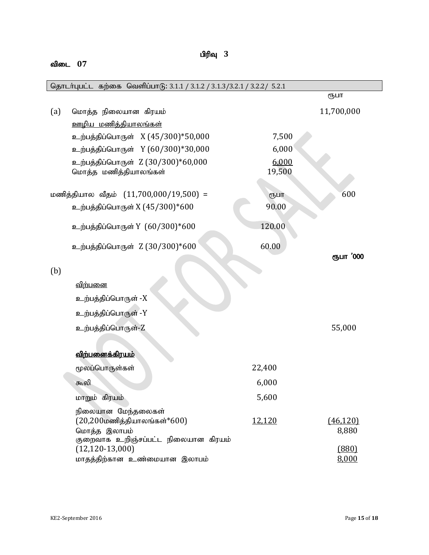## விடை 07

பிரிவு 3

| தொடர்புபட்ட கற்கை வெளிப்பாடு: 3.1.1 / 3.1.2 / 3.1.3/3.2.1 / 3.2.2/ 5.2.1 |                                                                                                                  |                 |                    |
|--------------------------------------------------------------------------|------------------------------------------------------------------------------------------------------------------|-----------------|--------------------|
|                                                                          |                                                                                                                  |                 | ரூபா               |
| (a)                                                                      | மொத்த நிலையான கிரயம்                                                                                             |                 | 11,700,000         |
|                                                                          | <u>ஊழிய மணித்தியாலங்கள்</u>                                                                                      |                 |                    |
|                                                                          | உற்பத்திப்பொருள் X (45/300)*50,000                                                                               | 7,500           |                    |
|                                                                          | உற்பத்திப்பொருள் Y (60/300)*30,000                                                                               | 6,000           |                    |
|                                                                          | உற்பத்திப்பொருள் Z (30/300)*60,000<br>மொத்த மணித்தியாலங்கள்                                                      | 6,000<br>19,500 |                    |
|                                                                          | மணித்தியால வீதம் $(11,700,000/19,500)$ =                                                                         | ரூபா            | 600                |
|                                                                          | உற்பத்திப்பொருள் X (45/300)*600                                                                                  | 90.00           |                    |
|                                                                          | உற்பத்திப்பொருள் Y (60/300)*600                                                                                  | 120.00          |                    |
|                                                                          | உற்பத்திப்பொருள் Z (30/300)*600                                                                                  | 60.00           | ரூபா '000          |
| (b)                                                                      |                                                                                                                  |                 |                    |
|                                                                          | விற்பனை                                                                                                          |                 |                    |
|                                                                          | உற்பத்திப்பொருள் -X                                                                                              |                 |                    |
|                                                                          | உற்பத்திப்பொருள் -Y                                                                                              |                 |                    |
|                                                                          | உற்பத்திப்பொருள்-Z                                                                                               |                 | 55,000             |
|                                                                          |                                                                                                                  |                 |                    |
|                                                                          | <u>விற்பனைக்கிரயம்</u>                                                                                           |                 |                    |
|                                                                          | மூலப்பொருள்கள்                                                                                                   | 22,400          |                    |
|                                                                          | கூலி                                                                                                             | 6,000           |                    |
|                                                                          | மாறும் கிரயம்                                                                                                    | 5,600           |                    |
|                                                                          | நிலையான மேந்தலைகள்<br>$(20, 200$ மணித்தியாலங்கள் $*600$ )<br>மொத்த இலாபம்<br>குறைவாக உறிஞ்சப்பட்ட நிலையான கிரயம் | 12,120          | (46, 120)<br>8,880 |
|                                                                          | $(12, 120 - 13, 000)$<br>மாதத்திற்கான உண்மையான இலாபம்                                                            |                 | (880)<br>8,000     |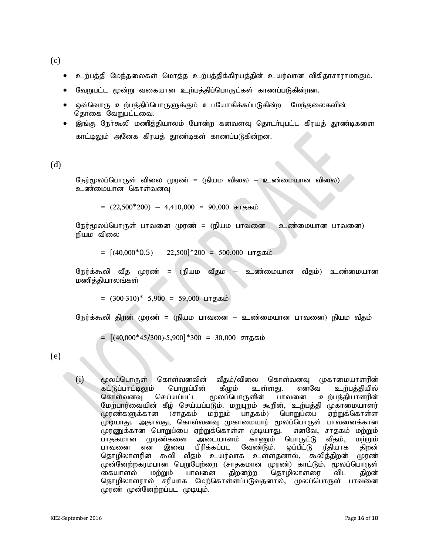(c)

- உற்பத்தி மேந்தலைகள் மொத்த உற்பத்திக்கிரயத்தின் உயர்வான விகிதாசாராமாகும்.
- வேறுபட்ட மூன்று வகையான உற்பத்திப்பொருட்கள் காணப்படுகின்றன.
- லு்வொரு உற்பத்திப்பொருளுக்கும் உபயோகிக்கப்படுகின்ற மேந்தலைகளின் தொகை வேறுபட்டவை.
- இங்கு நேர்கூலி மணித்தியாலம் போன்ற கனவளவு தொடர்புபட்ட கிரயத் தூண்டிகளை காட்டிலும் அனேக கிரயத் தூண்டிகள் காணப்படுகின்றன.

#### (d)

நேர்மூலப்பொருள் விலை முரண் = (நியம விலை — உண்மையான விலை) உண்மையான கொள்வனவு

 $=(22,500*200) - 4,410,000 = 90,000$  சாதகம்

நேர்மூலப்பொருள் பாவனை முரண் = (நியம பாவனை — உண்மையான பாவனை) நியம விலை

 $=[(40,000*0.5) - 22,500] * 200 = 500,000$  பாதகம்

நேர்க்கூலி வீத முரண் = (நியம வீதம் — உண்மையான வீதம்) உண்மையான மணித்தியாலங்கள்

 $=$   $(300-310)^*$  5,900 = 59,000 பாதகம்

நேர்க்கூலி கிறன் முரண் = (நியம பாவனை — உண்மையான பாவனை) நியம வீதம்

=  $[(40,000*45/300)-5,900]*300 = 30,000$  சாதகம்

#### (e)

(i) மூலப்பொருள் கொள்வனவின் வீதம்/விலை கொள்வனவு முகாமையாளரின் கட்டுப்பாட்டிலும் பொறுப்பின் கீழும் உள்ளது. எனவே உற்பத்தியில்<br>கொள்வனவு செய்யப்பட்ட மூலப்பொருளின் பாவனை உற்பத்தியாளரின் உற்பத்தியாளரின் மேற்பார்வையின் கீழ் செய்யப்படும். மறுபுறம் கூறின், உற்பத்தி முகாமையாளர்<br>முரண்களுக்கான (சாதகம் மற்றும் பாதகம்) பொறுப்பை ஏற்றுக்கொள்ள (சாதகம் மற்றும் பாதகம்) பொறுப்பை முடியாது. அதாவது, கொள்வனவு முகாமையார் மூலப்பொருள் பாவனைக்கான<br>முரணுக்கான பொறுப்பை ஏற்றுக்கொள்ள முடியாது. எனவே, சாதகம் மற்றும் முரணுக்கான பொறுப்பை ஏற்றுக்கொள்ள முடியாது. எனவே, சாதகம் மற்றும்<br>பாதகமான முரண்களை அடையாளம் காணும் பொருட்டு வீதம், மற்றும் பாதகமான முரண்களை அடையாளம் காணும் பொருட்டு வீதம், மற்றும்<br>பாவனை என இவை பிரிக்கப்பட வேண்டும். ஓப்பீட்டு ரீதியாக திறன் என இவை பிரிக்கப்பட வேண்டும். ஓப்பீட்டு ரீதியாக திறன்<br>ரின் கூலி வீதம் உயர்வாக உள்ளதனால், கூலித்திறன் முரண் தொழிலாளரின் கூலி வீதம் உயர்வாக உள்ளதனால், கூலித்திறன் முன்னேற்றகரமபான பெறுபேற்றை (சாதகமான முரண்) காட்டும். மூலப்பொருள்<br>கையாளல் மற்றும் பாவனை திறனற்ற தொழிலாளரை விட திறன் கையாளல் மற்றும் பாவனை திறனற்ற தொழிலாளரை விட திறன்<br>தொழிலாளரால் சரியாக மேற்கொள்ளப்படுவதனால், மூலப்பொருள் பாவனை சரியாக மேற்கொள்ளப்படுவதனால், மூலப்பொருள் பாவனை முரண் முன்னேற்றப்பட முடியும்.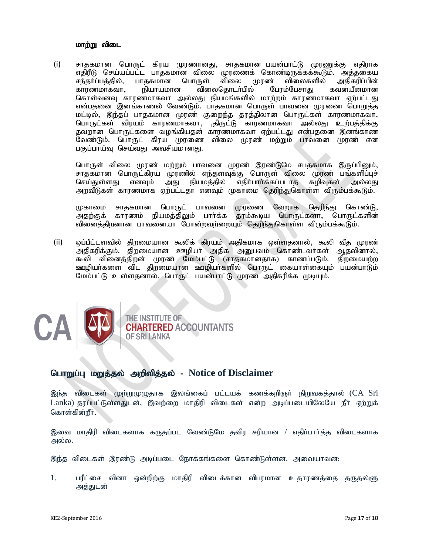#### மாற்று விடை

(i) சாதகமான பொருட் கிரய முரணானது, சாதகமான பயன்பாட்டு முரணுக்கு எதிராக எதிரீடு செய்யப்பட்ட பாதகமான விலை முரணைக் கொண்டிருக்கக்கூடும். அத்தகைய<br>சந்தர்ப்பத்தில், பாதகமான பொருள் விலை முரண் விலைகளில் அதிகரிப்பின் சந்தா்ப்பத்தில், பாதகமான பொருள் விலை முரண் விலைகளில் அதிகரிப்பின்<br>காரணமாகவா, நியாயமான விலைதொடர்பில் பேரம்பேசாது கவனயீனமான விலைதொடர்பில் கொள்வனவு காரணமாகவா அல்லது நியமங்களில் மாற்றம் காரணமாகவா ஏற்பட்டது என்பதனை இனங்காணல் வேண்டும். பாதகமான பொருள் பாவனை முரணை பொ<u>றுத்</u>த மட்டில், இந்தப் பாதகமான முரண் குறைந்த தரத்திலான பொருட்கள் காரணமாகவா, பொருட்கள் விரயம் காரணமாகவா, திருட்டு காரணமாகவா அல்லது உற்பத்திக்கு தவறான பொருட்களை வழங்கியதன் காரணமாகவா ஏற்பட்டது என்பதனை இனங்காண வேண்டும். பொருட் கிரய முரணை விலை முரண் மற்றும் பாவனை முரண் என பகுப்பாய்வு செய்வது அவசியமானது.

பொருள் விலை முரண் மற்றும் பாவனை முரண் இரண்டுமே சபதகமாக இருப்பினும், சாதகமான பொருட்கிரய முரணில் எந்தளவுக்கு பொருள் விலை முரண் பங்களிப்புச்<br>செய்துள்ளது எனவும் அது நியமத்தில் எதிா்பாா்க்கப்படாத கழிவுகள் அல்லது எதிர்பார்க்கப்படாத அறவீடுகள் காரணமாக ஏற்பட்டதா எனவும் முகாமை தெரிந்துகொள்ள விரும்பக்கூடும்.

முகாமை சாதகமான பொருட் பாவனை முரணை வேறாக தெரிந்து கொண்டு,<br>அதற்குக் காரணம் நியமத்திலும் பார்க்க தரம்கூடிய பொருட்களா, பொருட்களின் அதற்குக் காரணம் நியமத்திலும் பாா்க்க வினைத்திறனான பாவனையா போன்றவற்றையும் தெரிந்துகொள்ள விரும்பக்கூடும்.

(ii) ஒப்பீட்டளவில் திறமையான கூலிக் கிரயம் அதிகமாக ஒள்ளதனால், கூலி வீத முரண் அதிகரிக்கும். திறமையான ஊழியா் அதிக அனுபவம் கொண்டவா்கள் ஆதலினால், கூலி வினைத்திறன் முரண் மேம்பட்டு (சாதகமானதாக) காணப்படும். திறமையற்ற ஊழியர்களை விட திறமையான ஊழியர்களில் பொருட் கையாள்கையும் பயன்பாடும் மேம்பட்டு உள்ளதனால், பொருட் பயன்பாட்டு முரண் அதிகரிக்க முடியும்.



#### nghWg;G kWj;jy; mwptpj;jy; - **Notice of Disclaimer**

இந்த விடைகள் முற்றுமுழுதாக இலங்கைப் பட்டயக் கணக்கறிஞர் நிறுவகத்தால் (CA Sri  $L$ anka) தரப்பட்டுள்ளதுடன், இவற்றை மாதிரி விடைகள் என்ற அடிப்படையிலேயே நீா் ஏற்றுக் கொள்கின்றீர்.

இவை மாதிரி விடைகளாக கருதப்பட வேண்டுமே தவிர சரியான / எதிர்பார்த்த விடைகளாக அல்ல.

இந்த விடைகள் இரண்டு அடிப்படை நோக்கங்களை கொண்டுள்ளன. அவையாவன:

1. பரீட்சை வினா ஒன்றிற்கு மாதிரி விடைக்கான விபரமான உதாரணத்தை தருதல்ளு அக்குடன்